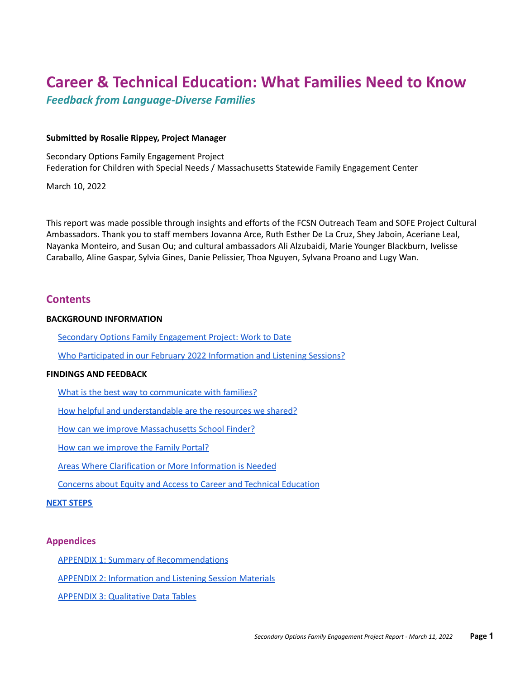# **Career & Technical Education: What Families Need to Know**

*Feedback from Language-Diverse Families*

# **Submitted by Rosalie Rippey, Project Manager**

Secondary Options Family Engagement Project Federation for Children with Special Needs / Massachusetts Statewide Family Engagement Center

March 10, 2022

This report was made possible through insights and efforts of the FCSN Outreach Team and SOFE Project Cultural Ambassadors. Thank you to staff members Jovanna Arce, Ruth Esther De La Cruz, Shey Jaboin, Aceriane Leal, Nayanka Monteiro, and Susan Ou; and cultural ambassadors Ali Alzubaidi, Marie Younger Blackburn, Ivelisse Caraballo, Aline Gaspar, Sylvia Gines, Danie Pelissier, Thoa Nguyen, Sylvana Proano and Lugy Wan.

# **Contents**

# **BACKGROUND INFORMATION**

Secondary Options Family [Engagement](#page-1-0) Project: Work to Date

Who [Participated](#page-1-1) in our February 2022 Information and Listening Sessions?

# **FINDINGS AND FEEDBACK**

What is the best way to [communicate](#page-3-0) with families?

How helpful and [understandable](#page-3-1) are the resources we shared?

How can we improve [Massachusetts](#page-4-0) School Finder?

How can we [improve](#page-5-0) the Family Portal?

Areas Where [Clarification](#page-6-0) or More Information is Needed

Concerns about Equity and Access to Career and Technical [Education](#page-7-0)

# **NEXT [STEPS](#page-7-1)**

# **Appendices**

APPENDIX 1: Summary of [Recommendations](#page-8-0)

APPENDIX 2: [Information](#page-9-0) and Listening Session Materials

APPENDIX 3: [Qualitative](#page-10-0) Data Tables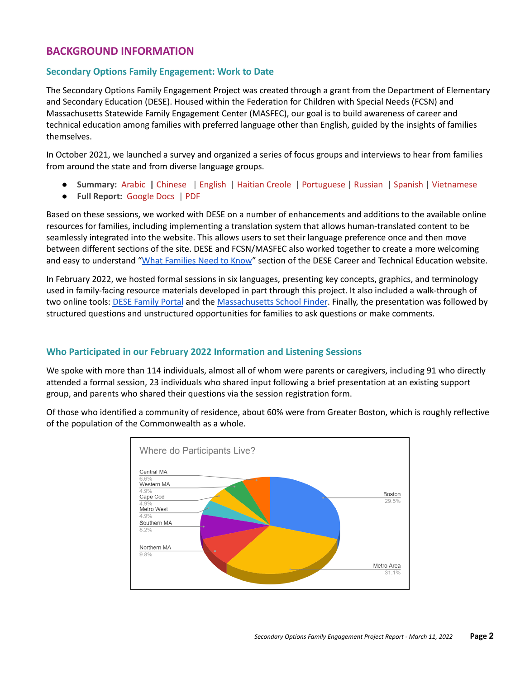# **BACKGROUND INFORMATION**

# <span id="page-1-0"></span>**Secondary Options Family Engagement: Work to Date**

The Secondary Options Family Engagement Project was created through a grant from the Department of Elementary and Secondary Education (DESE). Housed within the Federation for Children with Special Needs (FCSN) and Massachusetts Statewide Family Engagement Center (MASFEC), our goal is to build awareness of career and technical education among families with preferred language other than English, guided by the insights of families themselves.

In October 2021, we launched a survey and organized a series of focus groups and interviews to hear from families from around the state and from diverse language groups.

- **Summary:** [Arabic](https://docs.google.com/document/d/1Dmvd06GZgQ_roafvbCjsgdGUbgYoA5Q5Xt1d39lk_5Q/edit?usp=sharing) **|** [Chinese](https://docs.google.com/document/d/1LrI6rtGOGbDZAcul0YBXuWsFszhjNFb0PQFOaUDXFlo/edit?usp=sharing) | [English](https://docs.google.com/document/d/1GbZVyTaE3BsdzFYJWCdsPF7b4Q760ImNXNxABMh0FR4/edit?usp=sharing) | [Haitian](https://docs.google.com/document/d/1iBAOhrB-jgOdC2DnTuRXriHSAGOvZONmNM_2C5M_Wlg/edit?usp=sharing) Creole | [Portuguese](https://docs.google.com/document/d/1WaEgu2DensU7tCgOUOyIThDlOtma2kCLWa_CB1sgbLw/edit?usp=sharing) | [Russian](https://docs.google.com/document/d/1rbNyydEZDDeUVsnGIWXTqs9iRyjwLcqGPl28BS2lXP4/edit) | [Spanish](https://docs.google.com/document/d/1cbOFwdVPoYN8d0dlZUM-JClNHoEJ7brHRpU_WKKfJS8/edit?usp=sharing) | [Vietnamese](https://docs.google.com/document/d/1LyU0HoJtTVkzYeeZSKbUz2EYMN-UyZ8r_OdrrPa7cis/edit?usp=sharing)
- **Full Report:** [Google](https://docs.google.com/document/d/1UAKVM6ucvb3-GgzgRB1VwuXM_1ejx_KxtpG4DmlJoAA/edit?usp=sharing) Docs | [PDF](https://fcsn.org/wp-content/uploads/sites/2/2021/11/SOFE-Report.pdf)

Based on these sessions, we worked with DESE on a number of enhancements and additions to the available online resources for families, including implementing a translation system that allows human-translated content to be seamlessly integrated into the website. This allows users to set their language preference once and then move between different sections of the site. DESE and FCSN/MASFEC also worked together to create a more welcoming and easy to understand "What [Families](https://www.doe.mass.edu/ccte/cvte/cte-families/default.htm) Need to Know" section of the DESE Career and Technical Education website.

In February 2022, we hosted formal sessions in six languages, presenting key concepts, graphics, and terminology used in family-facing resource materials developed in part through this project. It also included a walk-through of two online tools: DESE [Family](https://www.doe.mass.edu/families/) Portal and the [Massachusetts](https://profiles.doe.mass.edu/search/get_closest_orgs.aspx) School Finder. Finally, the presentation was followed by structured questions and unstructured opportunities for families to ask questions or make comments.

# <span id="page-1-1"></span>**Who Participated in our February 2022 Information and Listening Sessions**

We spoke with more than 114 individuals, almost all of whom were parents or caregivers, including 91 who directly attended a formal session, 23 individuals who shared input following a brief presentation at an existing support group, and parents who shared their questions via the session registration form.

Of those who identified a community of residence, about 60% were from Greater Boston, which is roughly reflective of the population of the Commonwealth as a whole.

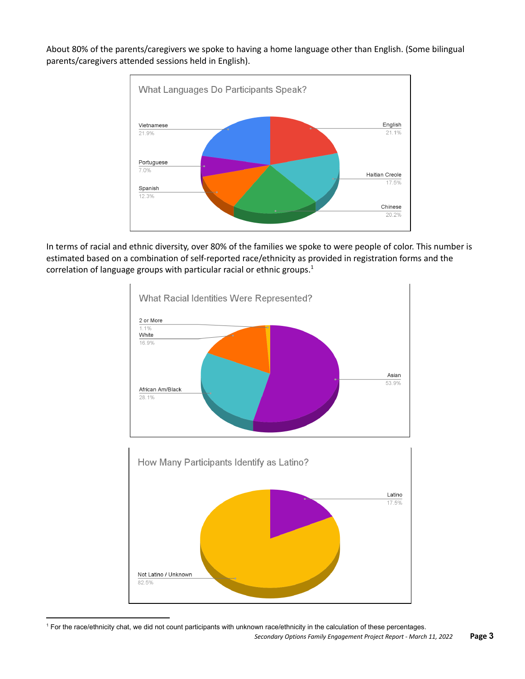About 80% of the parents/caregivers we spoke to having a home language other than English. (Some bilingual parents/caregivers attended sessions held in English).



In terms of racial and ethnic diversity, over 80% of the families we spoke to were people of color. This number is estimated based on a combination of self-reported race/ethnicity as provided in registration forms and the correlation of language groups with particular racial or ethnic groups. 1



<sup>1</sup> For the race/ethnicity chat, we did not count participants with unknown race/ethnicity in the calculation of these percentages.

*Secondary Options Family Engagement Project Report - March 11, 2022* **Page 3**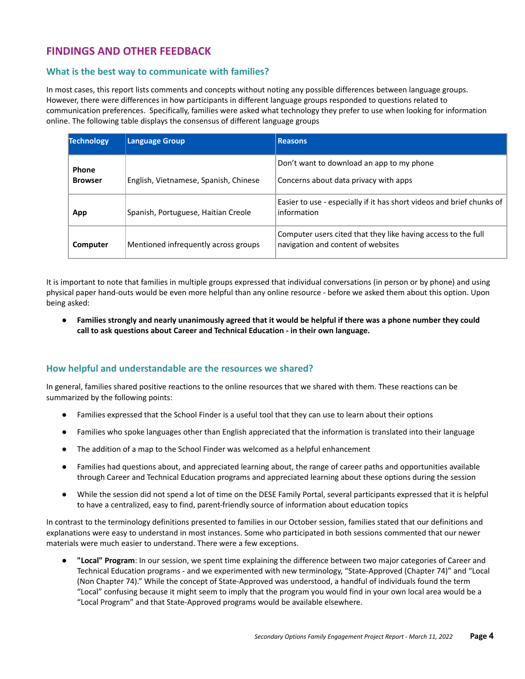# **FINDINGS AND OTHER FEEDBACK**

# <span id="page-3-0"></span>**What is the best way to communicate with families?**

In most cases, this report lists comments and concepts without noting any possible differences between language groups. However, there were differences in how participants in different language groups responded to questions related to communication preferences. Specifically, families were asked what technology they prefer to use when looking for information online. The following table displays the consensus of different language groups

| <b>Technology</b> | <b>Language Group</b>                 | <b>Reasons</b>                                                                                      |
|-------------------|---------------------------------------|-----------------------------------------------------------------------------------------------------|
| Phone             |                                       | Don't want to download an app to my phone                                                           |
| <b>Browser</b>    | English, Vietnamese, Spanish, Chinese | Concerns about data privacy with apps                                                               |
| App               | Spanish, Portuguese, Haitian Creole   | Easier to use - especially if it has short videos and brief chunks of<br>information                |
| Computer          | Mentioned infrequently across groups  | Computer users cited that they like having access to the full<br>navigation and content of websites |

It is important to note that families in multiple groups expressed that individual conversations (in person or by phone) and using physical paper hand-outs would be even more helpful than any online resource - before we asked them about this option. Upon being asked:

Families strongly and nearly unanimously agreed that it would be helpful if there was a phone number they could **call to ask questions about Career and Technical Education - in their own language.**

# <span id="page-3-1"></span>**How helpful and understandable are the resources we shared?**

In general, families shared positive reactions to the online resources that we shared with them. These reactions can be summarized by the following points:

- Families expressed that the School Finder is a useful tool that they can use to learn about their options
- Families who spoke languages other than English appreciated that the information is translated into their language
- The addition of a map to the School Finder was welcomed as a helpful enhancement
- Families had questions about, and appreciated learning about, the range of career paths and opportunities available through Career and Technical Education programs and appreciated learning about these options during the session
- While the session did not spend a lot of time on the DESE Family Portal, several participants expressed that it is helpful to have a centralized, easy to find, parent-friendly source of information about education topics

In contrast to the terminology definitions presented to families in our October session, families stated that our definitions and explanations were easy to understand in most instances. Some who participated in both sessions commented that our newer materials were much easier to understand. There were a few exceptions.

● **"Local" Program**: In our session, we spent time explaining the difference between two major categories of Career and Technical Education programs - and we experimented with new terminology, "State-Approved (Chapter 74)" and "Local (Non Chapter 74)." While the concept of State-Approved was understood, a handful of individuals found the term "Local" confusing because it might seem to imply that the program you would find in your own local area would be a "Local Program" and that State-Approved programs would be available elsewhere.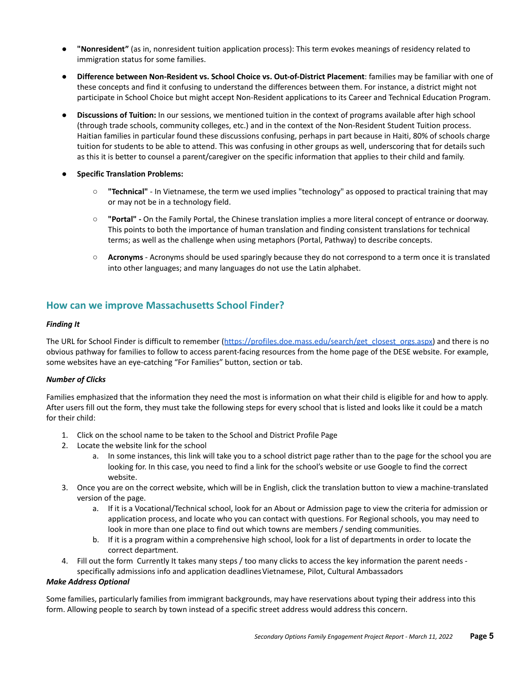- **"Nonresident"** (as in, nonresident tuition application process): This term evokes meanings of residency related to immigration status for some families.
- **Difference between Non-Resident vs. School Choice vs. Out-of-District Placement**: families may be familiar with one of these concepts and find it confusing to understand the differences between them. For instance, a district might not participate in School Choice but might accept Non-Resident applications to its Career and Technical Education Program.
- **● Discussions of Tuition:** In our sessions, we mentioned tuition in the context of programs available after high school (through trade schools, community colleges, etc.) and in the context of the Non-Resident Student Tuition process. Haitian families in particular found these discussions confusing, perhaps in part because in Haiti, 80% of schools charge tuition for students to be able to attend. This was confusing in other groups as well, underscoring that for details such as this it is better to counsel a parent/caregiver on the specific information that applies to their child and family.
- **● Specific Translation Problems:**
	- **"Technical"** In Vietnamese, the term we used implies "technology" as opposed to practical training that may or may not be in a technology field.
	- **"Portal" -** On the Family Portal, the Chinese translation implies a more literal concept of entrance or doorway. This points to both the importance of human translation and finding consistent translations for technical terms; as well as the challenge when using metaphors (Portal, Pathway) to describe concepts.
	- **Acronyms** Acronyms should be used sparingly because they do not correspond to a term once it is translated into other languages; and many languages do not use the Latin alphabet.

# <span id="page-4-0"></span>**How can we improve Massachusetts School Finder?**

#### *Finding It*

The URL for School Finder is difficult to remember ([https://profiles.doe.mass.edu/search/get\\_closest\\_orgs.aspx\)](https://profiles.doe.mass.edu/search/get_closest_orgs.aspx) and there is no obvious pathway for families to follow to access parent-facing resources from the home page of the DESE website. For example, some websites have an eye-catching "For Families" button, section or tab.

#### *Number of Clicks*

Families emphasized that the information they need the most is information on what their child is eligible for and how to apply. After users fill out the form, they must take the following steps for every school that is listed and looks like it could be a match for their child:

- 1. Click on the school name to be taken to the School and District Profile Page
- 2. Locate the website link for the school
	- a. In some instances, this link will take you to a school district page rather than to the page for the school you are looking for. In this case, you need to find a link for the school's website or use Google to find the correct website.
- 3. Once you are on the correct website, which will be in English, click the translation button to view a machine-translated version of the page.
	- a. If it is a Vocational/Technical school, look for an About or Admission page to view the criteria for admission or application process, and locate who you can contact with questions. For Regional schools, you may need to look in more than one place to find out which towns are members / sending communities.
	- b. If it is a program within a comprehensive high school, look for a list of departments in order to locate the correct department.
- 4. Fill out the form Currently It takes many steps / too many clicks to access the key information the parent needs specifically admissions info and application deadlinesVietnamese, Pilot, Cultural Ambassadors

#### *Make Address Optional*

Some families, particularly families from immigrant backgrounds, may have reservations about typing their address into this form. Allowing people to search by town instead of a specific street address would address this concern.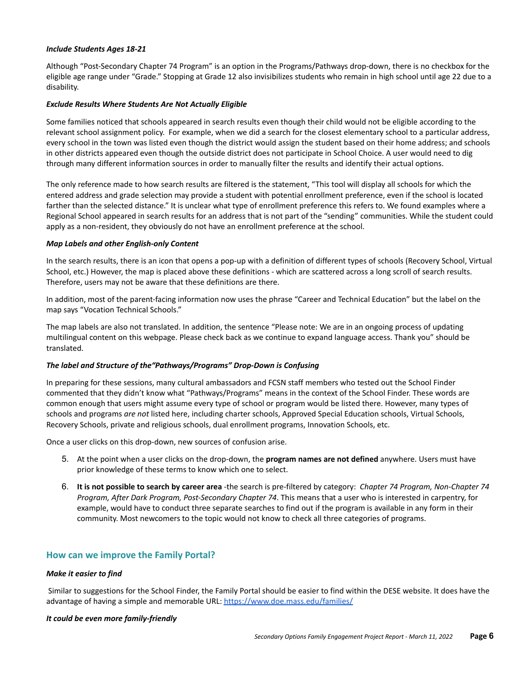#### *Include Students Ages 18-21*

Although "Post-Secondary Chapter 74 Program" is an option in the Programs/Pathways drop-down, there is no checkbox for the eligible age range under "Grade." Stopping at Grade 12 also invisibilizes students who remain in high school until age 22 due to a disability.

#### *Exclude Results Where Students Are Not Actually Eligible*

Some families noticed that schools appeared in search results even though their child would not be eligible according to the relevant school assignment policy. For example, when we did a search for the closest elementary school to a particular address, every school in the town was listed even though the district would assign the student based on their home address; and schools in other districts appeared even though the outside district does not participate in School Choice. A user would need to dig through many different information sources in order to manually filter the results and identify their actual options.

The only reference made to how search results are filtered is the statement, "This tool will display all schools for which the entered address and grade selection may provide a student with potential enrollment preference, even if the school is located farther than the selected distance." It is unclear what type of enrollment preference this refers to. We found examples where a Regional School appeared in search results for an address that is not part of the "sending" communities. While the student could apply as a non-resident, they obviously do not have an enrollment preference at the school.

#### *Map Labels and other English-only Content*

In the search results, there is an icon that opens a pop-up with a definition of different types of schools (Recovery School, Virtual School, etc.) However, the map is placed above these definitions - which are scattered across a long scroll of search results. Therefore, users may not be aware that these definitions are there.

In addition, most of the parent-facing information now uses the phrase "Career and Technical Education" but the label on the map says "Vocation Technical Schools."

The map labels are also not translated. In addition, the sentence "Please note: We are in an ongoing process of updating multilingual content on this webpage. Please check back as we continue to expand language access. Thank you" should be translated.

#### *The label and Structure of the"Pathways/Programs" Drop-Down is Confusing*

In preparing for these sessions, many cultural ambassadors and FCSN staff members who tested out the School Finder commented that they didn't know what "Pathways/Programs" means in the context of the School Finder. These words are common enough that users might assume every type of school or program would be listed there. However, many types of schools and programs *are not* listed here, including charter schools, Approved Special Education schools, Virtual Schools, Recovery Schools, private and religious schools, dual enrollment programs, Innovation Schools, etc.

Once a user clicks on this drop-down, new sources of confusion arise.

- 5. At the point when a user clicks on the drop-down, the **program names are not defined** anywhere. Users must have prior knowledge of these terms to know which one to select.
- 6. **It is not possible to search by career area** -the search is pre-filtered by category: *Chapter 74 Program, Non-Chapter 74 Program, After Dark Program, Post-Secondary Chapter 74*. This means that a user who is interested in carpentry, for example, would have to conduct three separate searches to find out if the program is available in any form in their community. Most newcomers to the topic would not know to check all three categories of programs.

#### <span id="page-5-0"></span>**How can we improve the Family Portal?**

#### *Make it easier to find*

Similar to suggestions for the School Finder, the Family Portal should be easier to find within the DESE website. It does have the advantage of having a simple and memorable URL: <https://www.doe.mass.edu/families/>

#### *It could be even more family-friendly*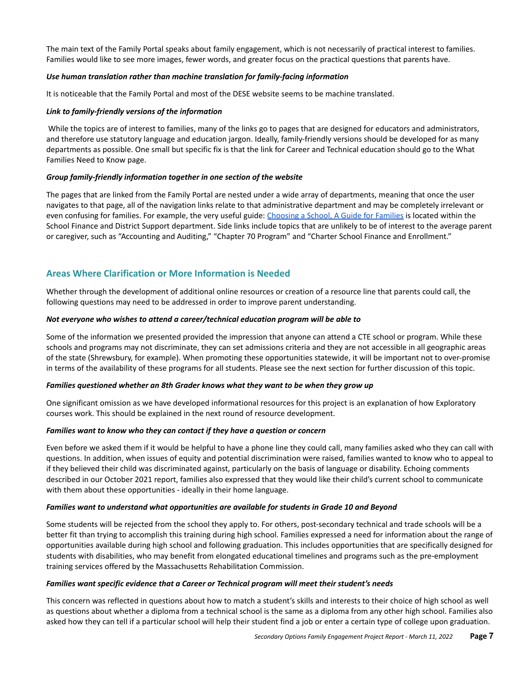The main text of the Family Portal speaks about family engagement, which is not necessarily of practical interest to families. Families would like to see more images, fewer words, and greater focus on the practical questions that parents have.

#### *Use human translation rather than machine translation for family-facing information*

It is noticeable that the Family Portal and most of the DESE website seems to be machine translated.

#### *Link to family-friendly versions of the information*

While the topics are of interest to families, many of the links go to pages that are designed for educators and administrators, and therefore use statutory language and education jargon. Ideally, family-friendly versions should be developed for as many departments as possible. One small but specific fix is that the link for Career and Technical education should go to the What Families Need to Know page.

#### *Group family-friendly information together in one section of the website*

The pages that are linked from the Family Portal are nested under a wide array of departments, meaning that once the user navigates to that page, all of the navigation links relate to that administrative department and may be completely irrelevant or even confusing for families. For example, the very useful guide: [Choosing](https://www.doe.mass.edu/finance/schoolchoice/choice-guide.html) a School, A Guide for Families is located within the School Finance and District Support department. Side links include topics that are unlikely to be of interest to the average parent or caregiver, such as "Accounting and Auditing," "Chapter 70 Program" and "Charter School Finance and Enrollment."

# <span id="page-6-0"></span>**Areas Where Clarification or More Information is Needed**

Whether through the development of additional online resources or creation of a resource line that parents could call, the following questions may need to be addressed in order to improve parent understanding.

#### *Not everyone who wishes to attend a career/technical education program will be able to*

Some of the information we presented provided the impression that anyone can attend a CTE school or program. While these schools and programs may not discriminate, they can set admissions criteria and they are not accessible in all geographic areas of the state (Shrewsbury, for example). When promoting these opportunities statewide, it will be important not to over-promise in terms of the availability of these programs for all students. Please see the next section for further discussion of this topic.

#### *Families questioned whether an 8th Grader knows what they want to be when they grow up*

One significant omission as we have developed informational resources for this project is an explanation of how Exploratory courses work. This should be explained in the next round of resource development.

#### *Families want to know who they can contact if they have a question or concern*

Even before we asked them if it would be helpful to have a phone line they could call, many families asked who they can call with questions. In addition, when issues of equity and potential discrimination were raised, families wanted to know who to appeal to if they believed their child was discriminated against, particularly on the basis of language or disability. Echoing comments described in our October 2021 report, families also expressed that they would like their child's current school to communicate with them about these opportunities - ideally in their home language.

#### *Families want to understand what opportunities are available for students in Grade 10 and Beyond*

Some students will be rejected from the school they apply to. For others, post-secondary technical and trade schools will be a better fit than trying to accomplish this training during high school. Families expressed a need for information about the range of opportunities available during high school and following graduation. This includes opportunities that are specifically designed for students with disabilities, who may benefit from elongated educational timelines and programs such as the pre-employment training services offered by the Massachusetts Rehabilitation Commission.

#### *Families want specific evidence that a Career or Technical program will meet their student's needs*

This concern was reflected in questions about how to match a student's skills and interests to their choice of high school as well as questions about whether a diploma from a technical school is the same as a diploma from any other high school. Families also asked how they can tell if a particular school will help their student find a job or enter a certain type of college upon graduation.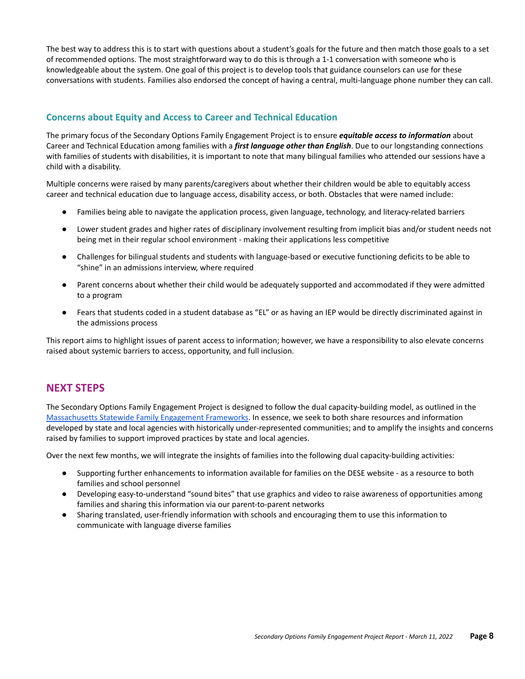The best way to address this is to start with questions about a student's goals for the future and then match those goals to a set of recommended options. The most straightforward way to do this is through a 1-1 conversation with someone who is knowledgeable about the system. One goal of this project is to develop tools that guidance counselors can use for these conversations with students. Families also endorsed the concept of having a central, multi-language phone number they can call.

# <span id="page-7-0"></span>**Concerns about Equity and Access to Career and Technical Education**

The primary focus of the Secondary Options Family Engagement Project is to ensure *equitable access to information* about Career and Technical Education among families with a *first language other than English*. Due to our longstanding connections with families of students with disabilities, it is important to note that many bilingual families who attended our sessions have a child with a disability.

Multiple concerns were raised by many parents/caregivers about whether their children would be able to equitably access career and technical education due to language access, disability access, or both. Obstacles that were named include:

- Families being able to navigate the application process, given language, technology, and literacy-related barriers
- Lower student grades and higher rates of disciplinary involvement resulting from implicit bias and/or student needs not being met in their regular school environment - making their applications less competitive
- Challenges for bilingual students and students with language-based or executive functioning deficits to be able to "shine" in an admissions interview, where required
- Parent concerns about whether their child would be adequately supported and accommodated if they were admitted to a program
- Fears that students coded in a student database as "EL" or as having an IEP would be directly discriminated against in the admissions process

This report aims to highlight issues of parent access to information; however, we have a responsibility to also elevate concerns raised about systemic barriers to access, opportunity, and full inclusion.

# <span id="page-7-1"></span>**NEXT STEPS**

The Secondary Options Family Engagement Project is designed to follow the dual capacity-building model, as outlined in the [Massachusetts](https://masfec.org/strengthening-partnerships/) Statewide Family Engagement Frameworks. In essence, we seek to both share resources and information developed by state and local agencies with historically under-represented communities; and to amplify the insights and concerns raised by families to support improved practices by state and local agencies.

Over the next few months, we will integrate the insights of families into the following dual capacity-building activities:

- Supporting further enhancements to information available for families on the DESE website as a resource to both families and school personnel
- Developing easy-to-understand "sound bites" that use graphics and video to raise awareness of opportunities among families and sharing this information via our parent-to-parent networks
- Sharing translated, user-friendly information with schools and encouraging them to use this information to communicate with language diverse families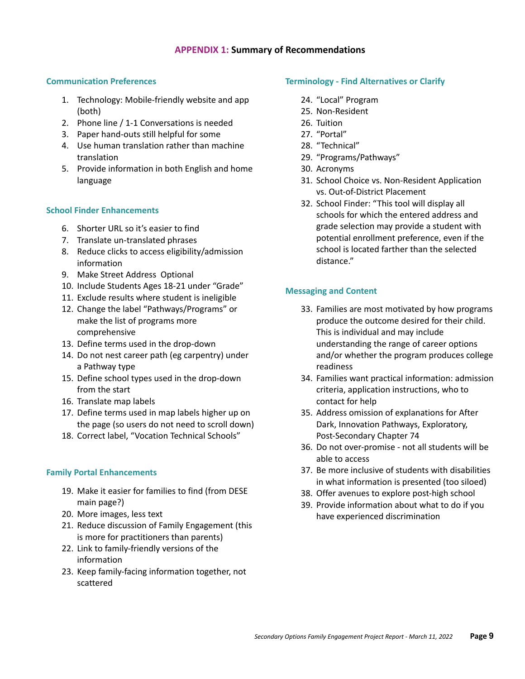# **APPENDIX 1: Summary of Recommendations**

#### <span id="page-8-0"></span>**Communication Preferences**

- 1. Technology: Mobile-friendly website and app (both)
- 2. Phone line / 1-1 Conversations is needed
- 3. Paper hand-outs still helpful for some
- 4. Use human translation rather than machine translation
- 5. Provide information in both English and home language

#### **School Finder Enhancements**

- 6. Shorter URL so it's easier to find
- 7. Translate un-translated phrases
- 8. Reduce clicks to access eligibility/admission information
- 9. Make Street Address Optional
- 10. Include Students Ages 18-21 under "Grade"
- 11. Exclude results where student is ineligible
- 12. Change the label "Pathways/Programs" or make the list of programs more comprehensive
- 13. Define terms used in the drop-down
- 14. Do not nest career path (eg carpentry) under a Pathway type
- 15. Define school types used in the drop-down from the start
- 16. Translate map labels
- 17. Define terms used in map labels higher up on the page (so users do not need to scroll down)
- 18. Correct label, "Vocation Technical Schools"

#### **Family Portal Enhancements**

- 19. Make it easier for families to find (from DESE main page?)
- 20. More images, less text
- 21. Reduce discussion of Family Engagement (this is more for practitioners than parents)
- 22. Link to family-friendly versions of the information
- 23. Keep family-facing information together, not scattered

#### **Terminology - Find Alternatives or Clarify**

- 24. "Local" Program
- 25. Non-Resident
- 26. Tuition
- 27. "Portal"
- 28. "Technical"
- 29. "Programs/Pathways"
- 30. Acronyms
- 31. School Choice vs. Non-Resident Application vs. Out-of-District Placement
- 32. School Finder: "This tool will display all schools for which the entered address and grade selection may provide a student with potential enrollment preference, even if the school is located farther than the selected distance."

# **Messaging and Content**

- 33. Families are most motivated by how programs produce the outcome desired for their child. This is individual and may include understanding the range of career options and/or whether the program produces college readiness
- 34. Families want practical information: admission criteria, application instructions, who to contact for help
- 35. Address omission of explanations for After Dark, Innovation Pathways, Exploratory, Post-Secondary Chapter 74
- 36. Do not over-promise not all students will be able to access
- 37. Be more inclusive of students with disabilities in what information is presented (too siloed)
- 38. Offer avenues to explore post-high school
- 39. Provide information about what to do if you have experienced discrimination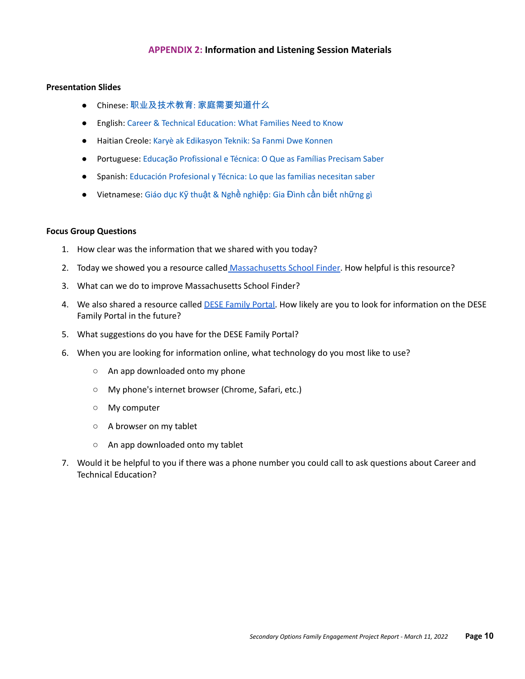# **APPENDIX 2: Information and Listening Session Materials**

#### <span id="page-9-0"></span>**Presentation Slides**

- Chinese: 职业及技术教育: [家庭需要知道什么](https://docs.google.com/presentation/d/1vw4tXZ-Lx8wbTKtIpUd1xYbwTPFFmQUCnWDOdR2PvoY/edit?usp=sharing)
- English: [Career & Technical Education: What Families](https://docs.google.com/presentation/d/1xmgIvEbk0_s-j9vECtHPt43QPVsSQIMpyA8E9cNU1_I/edit?usp=sharing) Need to Know
- Haitian Creole: [Karyè ak Edikasyon Teknik: Sa Fanmi](https://docs.google.com/presentation/d/12iuJQ5RaqeTg7C6UiVu7mrh4Ey6TxT19qRdQiTEEz3I/edit?usp=sharing) Dwe Konnen
- Portuguese: [Educação Profissional e Técnica: O Que](https://docs.google.com/presentation/d/15GPebH9nuUlNXoDZW5xro0q83NOdsgMmRcOY313GneE/edit?usp=sharing) as Famílias Precisam Saber
- Spanish: [Educación Profesional y Técnica: Lo que las](https://docs.google.com/presentation/d/1JBzjP7f6y-458KGGGoM82jnfww35Xjd5-mvhRu1AVPI/edit?usp=sharing) familias necesitan saber
- Vietnamese: Giáo dục Kỹ thuậ[t & Ngh](https://docs.google.com/presentation/d/1pr2OQxjKmirVdHcuq1wLSliYwwCWYbsSaP8x5-bAxn4/edit?usp=sharing)ề nghiệp: Gia Đình cần biết những gì

#### **Focus Group Questions**

- 1. How clear was the information that we shared with you today?
- 2. Today we showed you a resource called [Massachusetts](https://profiles.doe.mass.edu/search/get_closest_orgs) School Finder. How helpful is this resource?
- 3. What can we do to improve Massachusetts School Finder?
- 4. We also shared a resource called DESE [Family](https://www.doe.mass.edu/families) Portal. How likely are you to look for information on the DESE Family Portal in the future?
- 5. What suggestions do you have for the DESE Family Portal?
- 6. When you are looking for information online, what technology do you most like to use?
	- An app downloaded onto my phone
	- My phone's internet browser (Chrome, Safari, etc.)
	- My computer
	- A browser on my tablet
	- An app downloaded onto my tablet
- 7. Would it be helpful to you if there was a phone number you could call to ask questions about Career and Technical Education?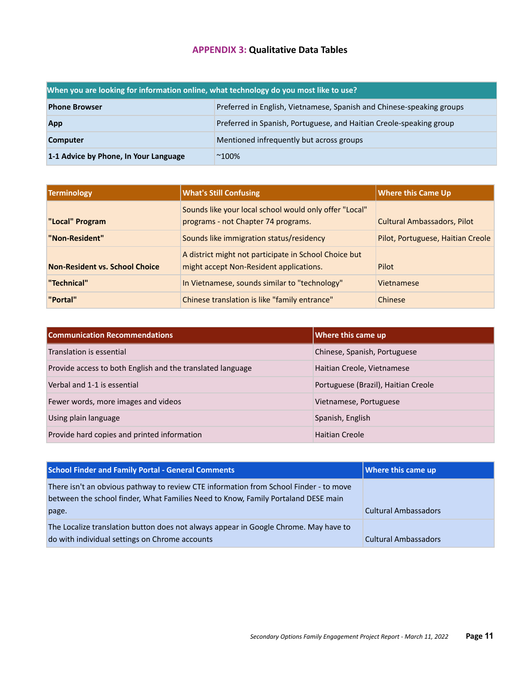# **APPENDIX 3: Qualitative Data Tables**

<span id="page-10-0"></span>

| When you are looking for information online, what technology do you most like to use? |                                                                       |
|---------------------------------------------------------------------------------------|-----------------------------------------------------------------------|
| <b>Phone Browser</b>                                                                  | Preferred in English, Vietnamese, Spanish and Chinese-speaking groups |
| App                                                                                   | Preferred in Spanish, Portuguese, and Haitian Creole-speaking group   |
| <b>Computer</b>                                                                       | Mentioned infrequently but across groups                              |
| 1-1 Advice by Phone, In Your Language                                                 | $^{\sim}100\%$                                                        |

| <b>Terminology</b>                    | <b>What's Still Confusing</b>                                                                    | <b>Where this Came Up</b>          |
|---------------------------------------|--------------------------------------------------------------------------------------------------|------------------------------------|
| "Local" Program                       | Sounds like your local school would only offer "Local"<br>programs - not Chapter 74 programs.    | <b>Cultural Ambassadors, Pilot</b> |
| "Non-Resident"                        | Sounds like immigration status/residency                                                         | Pilot, Portuguese, Haitian Creole  |
| <b>Non-Resident vs. School Choice</b> | A district might not participate in School Choice but<br>might accept Non-Resident applications. | Pilot                              |
| "Technical"                           | In Vietnamese, sounds similar to "technology"                                                    | Vietnamese                         |
| "Portal"                              | Chinese translation is like "family entrance"                                                    | Chinese                            |

| <b>Communication Recommendations</b>                       | Where this came up                  |
|------------------------------------------------------------|-------------------------------------|
| Translation is essential                                   | Chinese, Spanish, Portuguese        |
| Provide access to both English and the translated language | Haitian Creole, Vietnamese          |
| Verbal and 1-1 is essential                                | Portuguese (Brazil), Haitian Creole |
| Fewer words, more images and videos                        | Vietnamese, Portuguese              |
| Using plain language                                       | Spanish, English                    |
| Provide hard copies and printed information                | Haitian Creole                      |

| <b>School Finder and Family Portal - General Comments</b>                                                                                                                           | Where this came up          |
|-------------------------------------------------------------------------------------------------------------------------------------------------------------------------------------|-----------------------------|
| There isn't an obvious pathway to review CTE information from School Finder - to move<br>between the school finder, What Families Need to Know, Family Portaland DESE main<br>page. | <b>Cultural Ambassadors</b> |
| The Localize translation button does not always appear in Google Chrome. May have to<br>do with individual settings on Chrome accounts                                              | <b>Cultural Ambassadors</b> |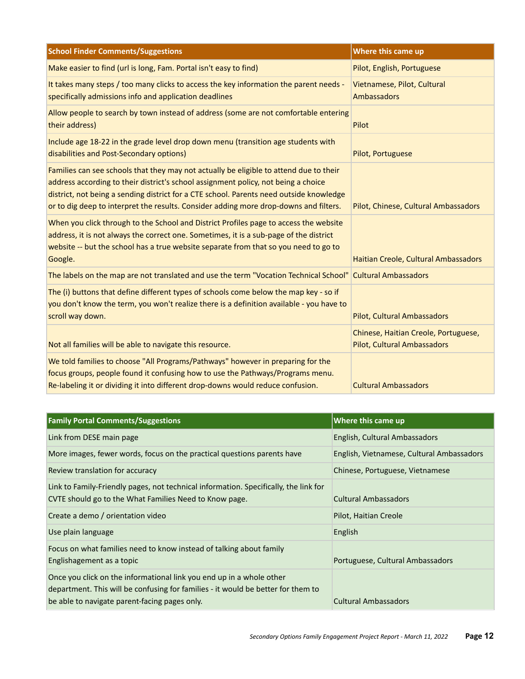| <b>School Finder Comments/Suggestions</b>                                                                                                                                                                                                                                                                                                                        | Where this came up                                                         |
|------------------------------------------------------------------------------------------------------------------------------------------------------------------------------------------------------------------------------------------------------------------------------------------------------------------------------------------------------------------|----------------------------------------------------------------------------|
| Make easier to find (url is long, Fam. Portal isn't easy to find)                                                                                                                                                                                                                                                                                                | Pilot, English, Portuguese                                                 |
| It takes many steps / too many clicks to access the key information the parent needs -<br>specifically admissions info and application deadlines                                                                                                                                                                                                                 | Vietnamese, Pilot, Cultural<br>Ambassadors                                 |
| Allow people to search by town instead of address (some are not comfortable entering<br>their address)                                                                                                                                                                                                                                                           | Pilot                                                                      |
| Include age 18-22 in the grade level drop down menu (transition age students with<br>disabilities and Post-Secondary options)                                                                                                                                                                                                                                    | Pilot, Portuguese                                                          |
| Families can see schools that they may not actually be eligible to attend due to their<br>address according to their district's school assignment policy, not being a choice<br>district, not being a sending district for a CTE school. Parents need outside knowledge<br>or to dig deep to interpret the results. Consider adding more drop-downs and filters. | Pilot, Chinese, Cultural Ambassadors                                       |
| When you click through to the School and District Profiles page to access the website<br>address, it is not always the correct one. Sometimes, it is a sub-page of the district<br>website -- but the school has a true website separate from that so you need to go to<br>Google.                                                                               | Haitian Creole, Cultural Ambassadors                                       |
| The labels on the map are not translated and use the term "Vocation Technical School" Cultural Ambassadors                                                                                                                                                                                                                                                       |                                                                            |
| The (i) buttons that define different types of schools come below the map key - so if<br>you don't know the term, you won't realize there is a definition available - you have to<br>scroll way down.                                                                                                                                                            | <b>Pilot, Cultural Ambassadors</b>                                         |
| Not all families will be able to navigate this resource.                                                                                                                                                                                                                                                                                                         | Chinese, Haitian Creole, Portuguese,<br><b>Pilot, Cultural Ambassadors</b> |
| We told families to choose "All Programs/Pathways" however in preparing for the<br>focus groups, people found it confusing how to use the Pathways/Programs menu.<br>Re-labeling it or dividing it into different drop-downs would reduce confusion.                                                                                                             | <b>Cultural Ambassadors</b>                                                |

| <b>Family Portal Comments/Suggestions</b>                                                                                                                                                                 | <b>Where this came up</b>                 |
|-----------------------------------------------------------------------------------------------------------------------------------------------------------------------------------------------------------|-------------------------------------------|
| Link from DESE main page                                                                                                                                                                                  | English, Cultural Ambassadors             |
| More images, fewer words, focus on the practical questions parents have                                                                                                                                   | English, Vietnamese, Cultural Ambassadors |
| Review translation for accuracy                                                                                                                                                                           | Chinese, Portuguese, Vietnamese           |
| Link to Family-Friendly pages, not technical information. Specifically, the link for<br>CVTE should go to the What Families Need to Know page.                                                            | <b>Cultural Ambassadors</b>               |
| Create a demo / orientation video                                                                                                                                                                         | Pilot, Haitian Creole                     |
| Use plain language                                                                                                                                                                                        | English                                   |
| Focus on what families need to know instead of talking about family<br>Englishagement as a topic                                                                                                          | Portuguese, Cultural Ambassadors          |
| Once you click on the informational link you end up in a whole other<br>department. This will be confusing for families - it would be better for them to<br>be able to navigate parent-facing pages only. | <b>Cultural Ambassadors</b>               |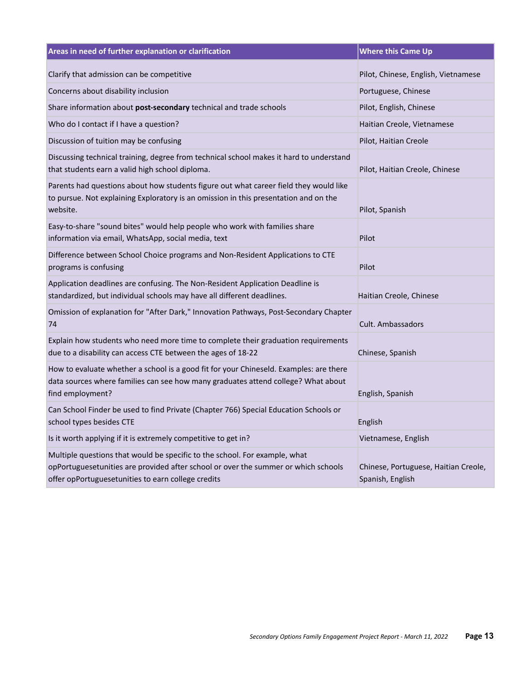| Areas in need of further explanation or clarification                                                                                                                                                                  | <b>Where this Came Up</b>                                |
|------------------------------------------------------------------------------------------------------------------------------------------------------------------------------------------------------------------------|----------------------------------------------------------|
| Clarify that admission can be competitive                                                                                                                                                                              | Pilot, Chinese, English, Vietnamese                      |
| Concerns about disability inclusion                                                                                                                                                                                    | Portuguese, Chinese                                      |
| Share information about post-secondary technical and trade schools                                                                                                                                                     | Pilot, English, Chinese                                  |
| Who do I contact if I have a question?                                                                                                                                                                                 | Haitian Creole, Vietnamese                               |
| Discussion of tuition may be confusing                                                                                                                                                                                 | Pilot, Haitian Creole                                    |
| Discussing technical training, degree from technical school makes it hard to understand<br>that students earn a valid high school diploma.                                                                             | Pilot, Haitian Creole, Chinese                           |
| Parents had questions about how students figure out what career field they would like<br>to pursue. Not explaining Exploratory is an omission in this presentation and on the<br>website.                              | Pilot, Spanish                                           |
| Easy-to-share "sound bites" would help people who work with families share<br>information via email, WhatsApp, social media, text                                                                                      | Pilot                                                    |
| Difference between School Choice programs and Non-Resident Applications to CTE<br>programs is confusing                                                                                                                | Pilot                                                    |
| Application deadlines are confusing. The Non-Resident Application Deadline is<br>standardized, but individual schools may have all different deadlines.                                                                | Haitian Creole, Chinese                                  |
| Omission of explanation for "After Dark," Innovation Pathways, Post-Secondary Chapter<br>74                                                                                                                            | Cult. Ambassadors                                        |
| Explain how students who need more time to complete their graduation requirements<br>due to a disability can access CTE between the ages of 18-22                                                                      | Chinese, Spanish                                         |
| How to evaluate whether a school is a good fit for your Chineseld. Examples: are there<br>data sources where families can see how many graduates attend college? What about<br>find employment?                        | English, Spanish                                         |
| Can School Finder be used to find Private (Chapter 766) Special Education Schools or<br>school types besides CTE                                                                                                       | English                                                  |
| Is it worth applying if it is extremely competitive to get in?                                                                                                                                                         | Vietnamese, English                                      |
| Multiple questions that would be specific to the school. For example, what<br>opPortuguesetunities are provided after school or over the summer or which schools<br>offer opPortuguesetunities to earn college credits | Chinese, Portuguese, Haitian Creole,<br>Spanish, English |